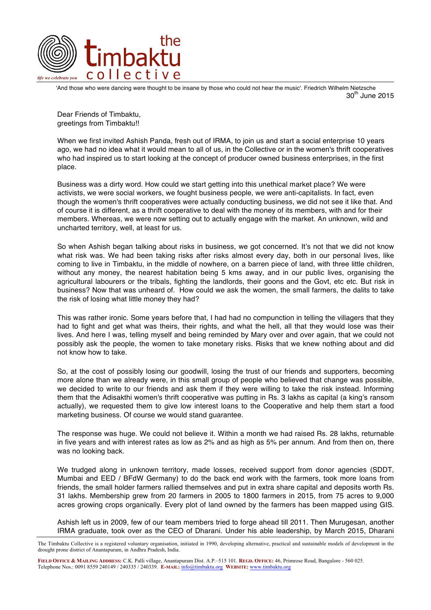

'And those who were dancing were thought to be insane by those who could not hear the music'. Friedrich Wilhelm Nietzsche  $30<sup>m</sup>$  June 2015

Dear Friends of Timbaktu, greetings from Timbaktu!!

When we first invited Ashish Panda, fresh out of IRMA, to join us and start a social enterprise 10 years ago, we had no idea what it would mean to all of us, in the Collective or in the women's thrift cooperatives who had inspired us to start looking at the concept of producer owned business enterprises, in the first place.

Business was a dirty word. How could we start getting into this unethical market place? We were activists, we were social workers, we fought business people, we were anti-capitalists. In fact, even though the women's thrift cooperatives were actually conducting business, we did not see it like that. And of course it is different, as a thrift cooperative to deal with the money of its members, with and for their members. Whereas, we were now setting out to actually engage with the market. An unknown, wild and uncharted territory, well, at least for us.

So when Ashish began talking about risks in business, we got concerned. It's not that we did not know what risk was. We had been taking risks after risks almost every day, both in our personal lives, like coming to live in Timbaktu, in the middle of nowhere, on a barren piece of land, with three little children, without any money, the nearest habitation being 5 kms away, and in our public lives, organising the agricultural labourers or the tribals, fighting the landlords, their goons and the Govt, etc etc. But risk in business? Now that was unheard of. How could we ask the women, the small farmers, the dalits to take the risk of losing what little money they had?

This was rather ironic. Some years before that, I had had no compunction in telling the villagers that they had to fight and get what was theirs, their rights, and what the hell, all that they would lose was their lives. And here I was, telling myself and being reminded by Mary over and over again, that we could not possibly ask the people, the women to take monetary risks. Risks that we knew nothing about and did not know how to take.

So, at the cost of possibly losing our goodwill, losing the trust of our friends and supporters, becoming more alone than we already were, in this small group of people who believed that change was possible, we decided to write to our friends and ask them if they were willing to take the risk instead. Informing them that the Adisakthi women's thrift cooperative was putting in Rs. 3 lakhs as capital (a king's ransom actually), we requested them to give low interest loans to the Cooperative and help them start a food marketing business. Of course we would stand guarantee.

The response was huge. We could not believe it. Within a month we had raised Rs. 28 lakhs, returnable in five years and with interest rates as low as 2% and as high as 5% per annum. And from then on, there was no looking back.

We trudged along in unknown territory, made losses, received support from donor agencies (SDDT, Mumbai and EED / BFdW Germany) to do the back end work with the farmers, took more loans from friends, the small holder farmers rallied themselves and put in extra share capital and deposits worth Rs. 31 lakhs. Membership grew from 20 farmers in 2005 to 1800 farmers in 2015, from 75 acres to 9,000 acres growing crops organically. Every plot of land owned by the farmers has been mapped using GIS.

Ashish left us in 2009, few of our team members tried to forge ahead till 2011. Then Murugesan, another IRMA graduate, took over as the CEO of Dharani. Under his able leadership, by March 2015, Dharani

The Timbaktu Collective is a registered voluntary organisation, initiated in 1990, developing alternative, practical and sustainable models of development in the drought prone district of Anantapuram, in Andhra Pradesh, India.

**FIELD OFFICE & MAILING ADDRESS:** C.K. Palli village, Anantapuram Dist. A.P.–515 101. **REGD. OFFICE:** 46, Primrose Road, Bangalore - 560 025. Telephone Nos.: 0091 8559 240149 / 240335 / 240339. **E-MAIL:** info@timbaktu.org **WEBSITE:** www.timbaktu.org